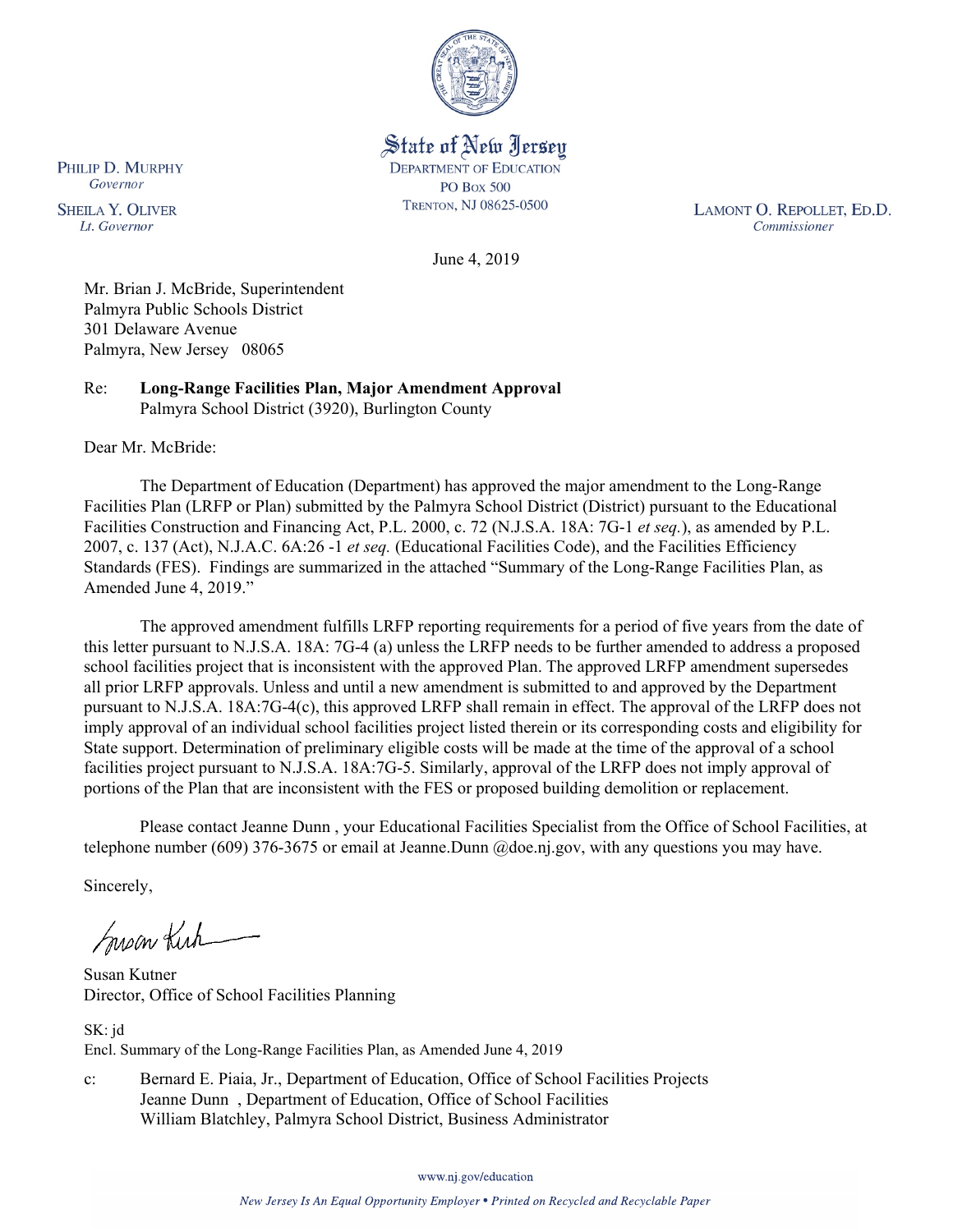

State of New Jersey **DEPARTMENT OF EDUCATION PO Box 500** TRENTON, NJ 08625-0500

LAMONT O. REPOLLET, ED.D. Commissioner

June 4, 2019

Mr. Brian J. McBride, Superintendent Palmyra Public Schools District 301 Delaware Avenue Palmyra, New Jersey 08065

Re: **Long-Range Facilities Plan, Major Amendment Approval** Palmyra School District (3920), Burlington County

Dear Mr. McBride:

The Department of Education (Department) has approved the major amendment to the Long-Range Facilities Plan (LRFP or Plan) submitted by the Palmyra School District (District) pursuant to the Educational Facilities Construction and Financing Act, P.L. 2000, c. 72 (N.J.S.A. 18A: 7G-1 *et seq.*), as amended by P.L. 2007, c. 137 (Act), N.J.A.C. 6A:26 -1 *et seq.* (Educational Facilities Code), and the Facilities Efficiency Standards (FES). Findings are summarized in the attached "Summary of the Long-Range Facilities Plan, as Amended June 4, 2019."

The approved amendment fulfills LRFP reporting requirements for a period of five years from the date of this letter pursuant to N.J.S.A. 18A: 7G-4 (a) unless the LRFP needs to be further amended to address a proposed school facilities project that is inconsistent with the approved Plan. The approved LRFP amendment supersedes all prior LRFP approvals. Unless and until a new amendment is submitted to and approved by the Department pursuant to N.J.S.A. 18A:7G-4(c), this approved LRFP shall remain in effect. The approval of the LRFP does not imply approval of an individual school facilities project listed therein or its corresponding costs and eligibility for State support. Determination of preliminary eligible costs will be made at the time of the approval of a school facilities project pursuant to N.J.S.A. 18A:7G-5. Similarly, approval of the LRFP does not imply approval of portions of the Plan that are inconsistent with the FES or proposed building demolition or replacement.

Please contact Jeanne Dunn , your Educational Facilities Specialist from the Office of School Facilities, at telephone number (609) 376-3675 or email at Jeanne.Dunn @doe.nj.gov, with any questions you may have.

Sincerely,

Susan Kich

Susan Kutner Director, Office of School Facilities Planning

SK: jd Encl. Summary of the Long-Range Facilities Plan, as Amended June 4, 2019

c: Bernard E. Piaia, Jr., Department of Education, Office of School Facilities Projects Jeanne Dunn , Department of Education, Office of School Facilities William Blatchley, Palmyra School District, Business Administrator

www.nj.gov/education

PHILIP D. MURPHY Governor

**SHEILA Y. OLIVER** Lt. Governor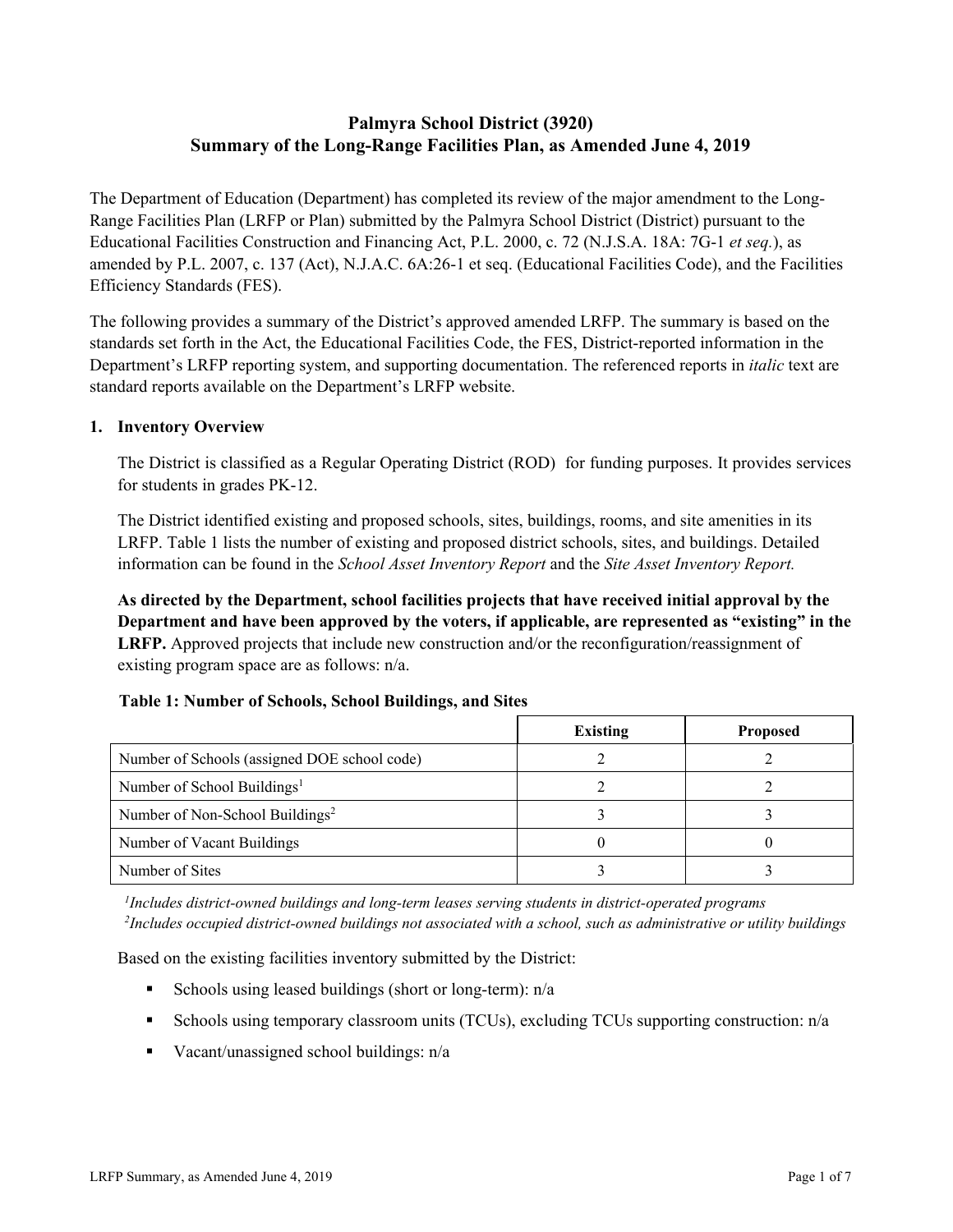# **Palmyra School District (3920) Summary of the Long-Range Facilities Plan, as Amended June 4, 2019**

The Department of Education (Department) has completed its review of the major amendment to the Long-Range Facilities Plan (LRFP or Plan) submitted by the Palmyra School District (District) pursuant to the Educational Facilities Construction and Financing Act, P.L. 2000, c. 72 (N.J.S.A. 18A: 7G-1 *et seq.*), as amended by P.L. 2007, c. 137 (Act), N.J.A.C. 6A:26-1 et seq. (Educational Facilities Code), and the Facilities Efficiency Standards (FES).

The following provides a summary of the District's approved amended LRFP. The summary is based on the standards set forth in the Act, the Educational Facilities Code, the FES, District-reported information in the Department's LRFP reporting system, and supporting documentation. The referenced reports in *italic* text are standard reports available on the Department's LRFP website.

### **1. Inventory Overview**

The District is classified as a Regular Operating District (ROD) for funding purposes. It provides services for students in grades PK-12.

The District identified existing and proposed schools, sites, buildings, rooms, and site amenities in its LRFP. Table 1 lists the number of existing and proposed district schools, sites, and buildings. Detailed information can be found in the *School Asset Inventory Report* and the *Site Asset Inventory Report.*

**As directed by the Department, school facilities projects that have received initial approval by the Department and have been approved by the voters, if applicable, are represented as "existing" in the LRFP.** Approved projects that include new construction and/or the reconfiguration/reassignment of existing program space are as follows: n/a.

# **Table 1: Number of Schools, School Buildings, and Sites**

|                                              | <b>Existing</b> | <b>Proposed</b> |
|----------------------------------------------|-----------------|-----------------|
| Number of Schools (assigned DOE school code) |                 |                 |
| Number of School Buildings <sup>1</sup>      |                 |                 |
| Number of Non-School Buildings <sup>2</sup>  |                 |                 |
| Number of Vacant Buildings                   |                 |                 |
| Number of Sites                              |                 |                 |

*1 Includes district-owned buildings and long-term leases serving students in district-operated programs 2 Includes occupied district-owned buildings not associated with a school, such as administrative or utility buildings*

Based on the existing facilities inventory submitted by the District:

- Schools using leased buildings (short or long-term):  $n/a$
- Schools using temporary classroom units (TCUs), excluding TCUs supporting construction: n/a
- Vacant/unassigned school buildings:  $n/a$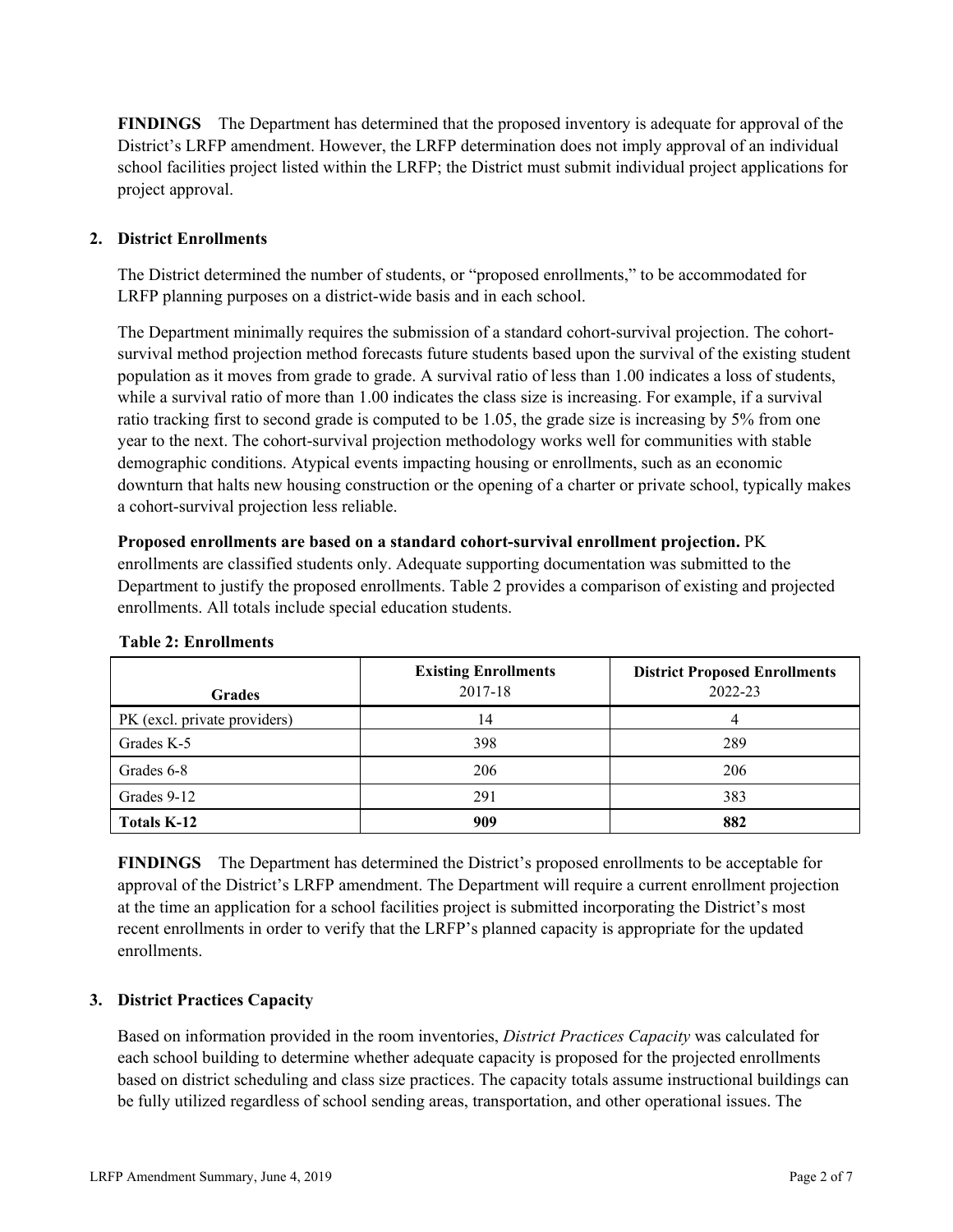**FINDINGS** The Department has determined that the proposed inventory is adequate for approval of the District's LRFP amendment. However, the LRFP determination does not imply approval of an individual school facilities project listed within the LRFP; the District must submit individual project applications for project approval.

# **2. District Enrollments**

The District determined the number of students, or "proposed enrollments," to be accommodated for LRFP planning purposes on a district-wide basis and in each school.

The Department minimally requires the submission of a standard cohort-survival projection. The cohortsurvival method projection method forecasts future students based upon the survival of the existing student population as it moves from grade to grade. A survival ratio of less than 1.00 indicates a loss of students, while a survival ratio of more than 1.00 indicates the class size is increasing. For example, if a survival ratio tracking first to second grade is computed to be 1.05, the grade size is increasing by 5% from one year to the next. The cohort-survival projection methodology works well for communities with stable demographic conditions. Atypical events impacting housing or enrollments, such as an economic downturn that halts new housing construction or the opening of a charter or private school, typically makes a cohort-survival projection less reliable.

**Proposed enrollments are based on a standard cohort-survival enrollment projection.** PK enrollments are classified students only. Adequate supporting documentation was submitted to the Department to justify the proposed enrollments. Table 2 provides a comparison of existing and projected enrollments. All totals include special education students.

| <b>Grades</b>                | <b>Existing Enrollments</b><br>2017-18 | <b>District Proposed Enrollments</b><br>2022-23 |
|------------------------------|----------------------------------------|-------------------------------------------------|
| PK (excl. private providers) | 14                                     |                                                 |
| Grades K-5                   | 398                                    | 289                                             |
| Grades 6-8                   | 206                                    | 206                                             |
| Grades 9-12                  | 291                                    | 383                                             |
| <b>Totals K-12</b>           | 909                                    | 882                                             |

#### **Table 2: Enrollments**

**FINDINGS** The Department has determined the District's proposed enrollments to be acceptable for approval of the District's LRFP amendment. The Department will require a current enrollment projection at the time an application for a school facilities project is submitted incorporating the District's most recent enrollments in order to verify that the LRFP's planned capacity is appropriate for the updated enrollments.

# **3. District Practices Capacity**

Based on information provided in the room inventories, *District Practices Capacity* was calculated for each school building to determine whether adequate capacity is proposed for the projected enrollments based on district scheduling and class size practices. The capacity totals assume instructional buildings can be fully utilized regardless of school sending areas, transportation, and other operational issues. The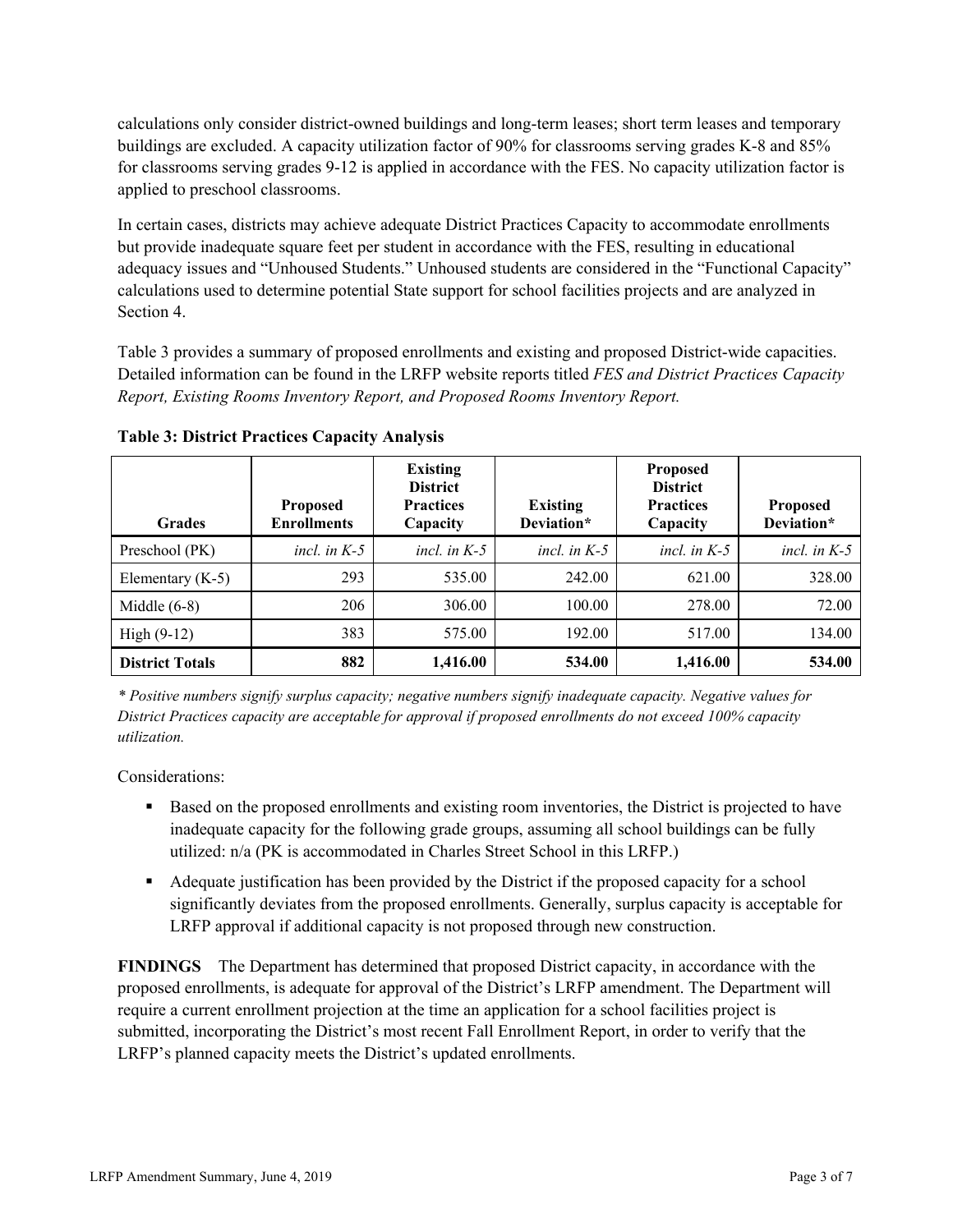calculations only consider district-owned buildings and long-term leases; short term leases and temporary buildings are excluded. A capacity utilization factor of 90% for classrooms serving grades K-8 and 85% for classrooms serving grades 9-12 is applied in accordance with the FES. No capacity utilization factor is applied to preschool classrooms.

In certain cases, districts may achieve adequate District Practices Capacity to accommodate enrollments but provide inadequate square feet per student in accordance with the FES, resulting in educational adequacy issues and "Unhoused Students." Unhoused students are considered in the "Functional Capacity" calculations used to determine potential State support for school facilities projects and are analyzed in Section 4.

Table 3 provides a summary of proposed enrollments and existing and proposed District-wide capacities. Detailed information can be found in the LRFP website reports titled *FES and District Practices Capacity Report, Existing Rooms Inventory Report, and Proposed Rooms Inventory Report.*

| <b>Grades</b>          | <b>Proposed</b><br><b>Enrollments</b> | <b>Existing</b><br><b>District</b><br><b>Practices</b><br>Capacity | <b>Existing</b><br>Deviation* | <b>Proposed</b><br><b>District</b><br><b>Practices</b><br>Capacity | <b>Proposed</b><br>Deviation* |
|------------------------|---------------------------------------|--------------------------------------------------------------------|-------------------------------|--------------------------------------------------------------------|-------------------------------|
| Preschool (PK)         | incl. in $K-5$                        | incl. in $K-5$                                                     | incl. in $K-5$                | incl. in $K-5$                                                     | incl. in $K-5$                |
| Elementary $(K-5)$     | 293                                   | 535.00                                                             | 242.00                        | 621.00                                                             | 328.00                        |
| Middle $(6-8)$         | 206                                   | 306.00                                                             | 100.00                        | 278.00                                                             | 72.00                         |
| High $(9-12)$          | 383                                   | 575.00                                                             | 192.00                        | 517.00                                                             | 134.00                        |
| <b>District Totals</b> | 882                                   | 1,416.00                                                           | 534.00                        | 1,416.00                                                           | 534.00                        |

**Table 3: District Practices Capacity Analysis**

*\* Positive numbers signify surplus capacity; negative numbers signify inadequate capacity. Negative values for District Practices capacity are acceptable for approval if proposed enrollments do not exceed 100% capacity utilization.*

Considerations:

- Based on the proposed enrollments and existing room inventories, the District is projected to have inadequate capacity for the following grade groups, assuming all school buildings can be fully utilized: n/a (PK is accommodated in Charles Street School in this LRFP.)
- Adequate justification has been provided by the District if the proposed capacity for a school significantly deviates from the proposed enrollments. Generally, surplus capacity is acceptable for LRFP approval if additional capacity is not proposed through new construction.

**FINDINGS**The Department has determined that proposed District capacity, in accordance with the proposed enrollments, is adequate for approval of the District's LRFP amendment. The Department will require a current enrollment projection at the time an application for a school facilities project is submitted, incorporating the District's most recent Fall Enrollment Report, in order to verify that the LRFP's planned capacity meets the District's updated enrollments.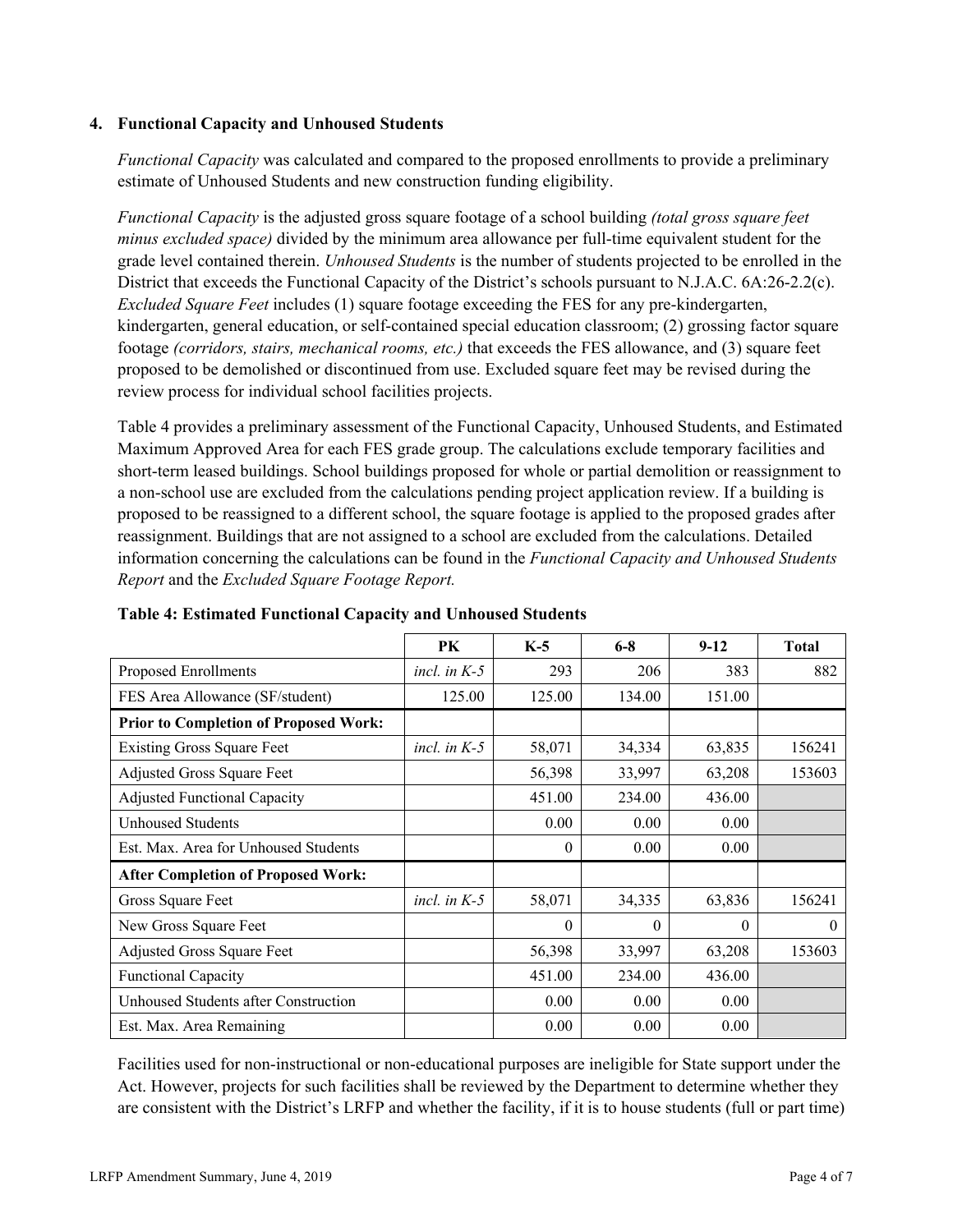### **4. Functional Capacity and Unhoused Students**

*Functional Capacity* was calculated and compared to the proposed enrollments to provide a preliminary estimate of Unhoused Students and new construction funding eligibility.

*Functional Capacity* is the adjusted gross square footage of a school building *(total gross square feet minus excluded space)* divided by the minimum area allowance per full-time equivalent student for the grade level contained therein. *Unhoused Students* is the number of students projected to be enrolled in the District that exceeds the Functional Capacity of the District's schools pursuant to N.J.A.C. 6A:26-2.2(c). *Excluded Square Feet* includes (1) square footage exceeding the FES for any pre-kindergarten, kindergarten, general education, or self-contained special education classroom; (2) grossing factor square footage *(corridors, stairs, mechanical rooms, etc.)* that exceeds the FES allowance, and (3) square feet proposed to be demolished or discontinued from use. Excluded square feet may be revised during the review process for individual school facilities projects.

Table 4 provides a preliminary assessment of the Functional Capacity, Unhoused Students, and Estimated Maximum Approved Area for each FES grade group. The calculations exclude temporary facilities and short-term leased buildings. School buildings proposed for whole or partial demolition or reassignment to a non-school use are excluded from the calculations pending project application review. If a building is proposed to be reassigned to a different school, the square footage is applied to the proposed grades after reassignment. Buildings that are not assigned to a school are excluded from the calculations. Detailed information concerning the calculations can be found in the *Functional Capacity and Unhoused Students Report* and the *Excluded Square Footage Report.*

|                                              | <b>PK</b>      | $K-5$    | $6 - 8$  | $9-12$   | <b>Total</b> |
|----------------------------------------------|----------------|----------|----------|----------|--------------|
| Proposed Enrollments                         | incl. in $K-5$ | 293      | 206      | 383      | 882          |
| FES Area Allowance (SF/student)              | 125.00         | 125.00   | 134.00   | 151.00   |              |
| <b>Prior to Completion of Proposed Work:</b> |                |          |          |          |              |
| <b>Existing Gross Square Feet</b>            | incl. in $K-5$ | 58,071   | 34,334   | 63,835   | 156241       |
| Adjusted Gross Square Feet                   |                | 56,398   | 33,997   | 63,208   | 153603       |
| <b>Adjusted Functional Capacity</b>          |                | 451.00   | 234.00   | 436.00   |              |
| <b>Unhoused Students</b>                     |                | 0.00     | 0.00     | 0.00     |              |
| Est. Max. Area for Unhoused Students         |                | $\theta$ | 0.00     | 0.00     |              |
| <b>After Completion of Proposed Work:</b>    |                |          |          |          |              |
| Gross Square Feet                            | incl. in $K-5$ | 58,071   | 34,335   | 63,836   | 156241       |
| New Gross Square Feet                        |                | $\theta$ | $\Omega$ | $\Omega$ | $\theta$     |
| Adjusted Gross Square Feet                   |                | 56,398   | 33,997   | 63,208   | 153603       |
| Functional Capacity                          |                | 451.00   | 234.00   | 436.00   |              |
| Unhoused Students after Construction         |                | 0.00     | 0.00     | 0.00     |              |
| Est. Max. Area Remaining                     |                | 0.00     | 0.00     | 0.00     |              |

**Table 4: Estimated Functional Capacity and Unhoused Students** 

Facilities used for non-instructional or non-educational purposes are ineligible for State support under the Act. However, projects for such facilities shall be reviewed by the Department to determine whether they are consistent with the District's LRFP and whether the facility, if it is to house students (full or part time)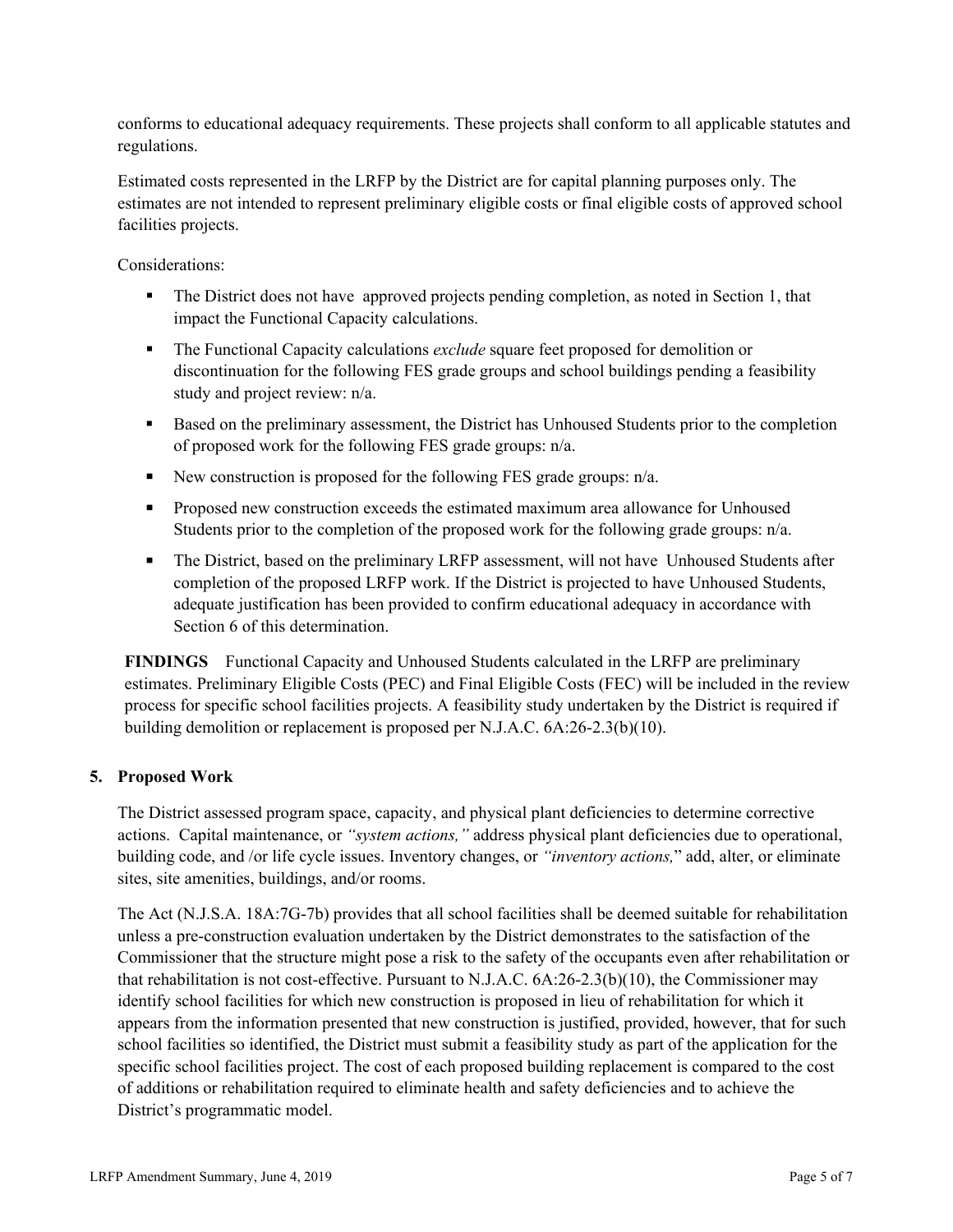conforms to educational adequacy requirements. These projects shall conform to all applicable statutes and regulations.

Estimated costs represented in the LRFP by the District are for capital planning purposes only. The estimates are not intended to represent preliminary eligible costs or final eligible costs of approved school facilities projects.

Considerations:

- The District does not have approved projects pending completion, as noted in Section 1, that impact the Functional Capacity calculations.
- **The Functional Capacity calculations** *exclude* square feet proposed for demolition or discontinuation for the following FES grade groups and school buildings pending a feasibility study and project review: n/a.
- Based on the preliminary assessment, the District has Unhoused Students prior to the completion of proposed work for the following FES grade groups: n/a.
- New construction is proposed for the following FES grade groups:  $n/a$ .
- **Proposed new construction exceeds the estimated maximum area allowance for Unhoused** Students prior to the completion of the proposed work for the following grade groups: n/a.
- The District, based on the preliminary LRFP assessment, will not have Unhoused Students after completion of the proposed LRFP work. If the District is projected to have Unhoused Students, adequate justification has been provided to confirm educational adequacy in accordance with Section 6 of this determination.

**FINDINGS** Functional Capacity and Unhoused Students calculated in the LRFP are preliminary estimates. Preliminary Eligible Costs (PEC) and Final Eligible Costs (FEC) will be included in the review process for specific school facilities projects. A feasibility study undertaken by the District is required if building demolition or replacement is proposed per N.J.A.C. 6A:26-2.3(b)(10).

# **5. Proposed Work**

The District assessed program space, capacity, and physical plant deficiencies to determine corrective actions. Capital maintenance, or *"system actions,"* address physical plant deficiencies due to operational, building code, and /or life cycle issues. Inventory changes, or *"inventory actions,*" add, alter, or eliminate sites, site amenities, buildings, and/or rooms.

The Act (N.J.S.A. 18A:7G-7b) provides that all school facilities shall be deemed suitable for rehabilitation unless a pre-construction evaluation undertaken by the District demonstrates to the satisfaction of the Commissioner that the structure might pose a risk to the safety of the occupants even after rehabilitation or that rehabilitation is not cost-effective. Pursuant to N.J.A.C. 6A:26-2.3(b)(10), the Commissioner may identify school facilities for which new construction is proposed in lieu of rehabilitation for which it appears from the information presented that new construction is justified, provided, however, that for such school facilities so identified, the District must submit a feasibility study as part of the application for the specific school facilities project. The cost of each proposed building replacement is compared to the cost of additions or rehabilitation required to eliminate health and safety deficiencies and to achieve the District's programmatic model.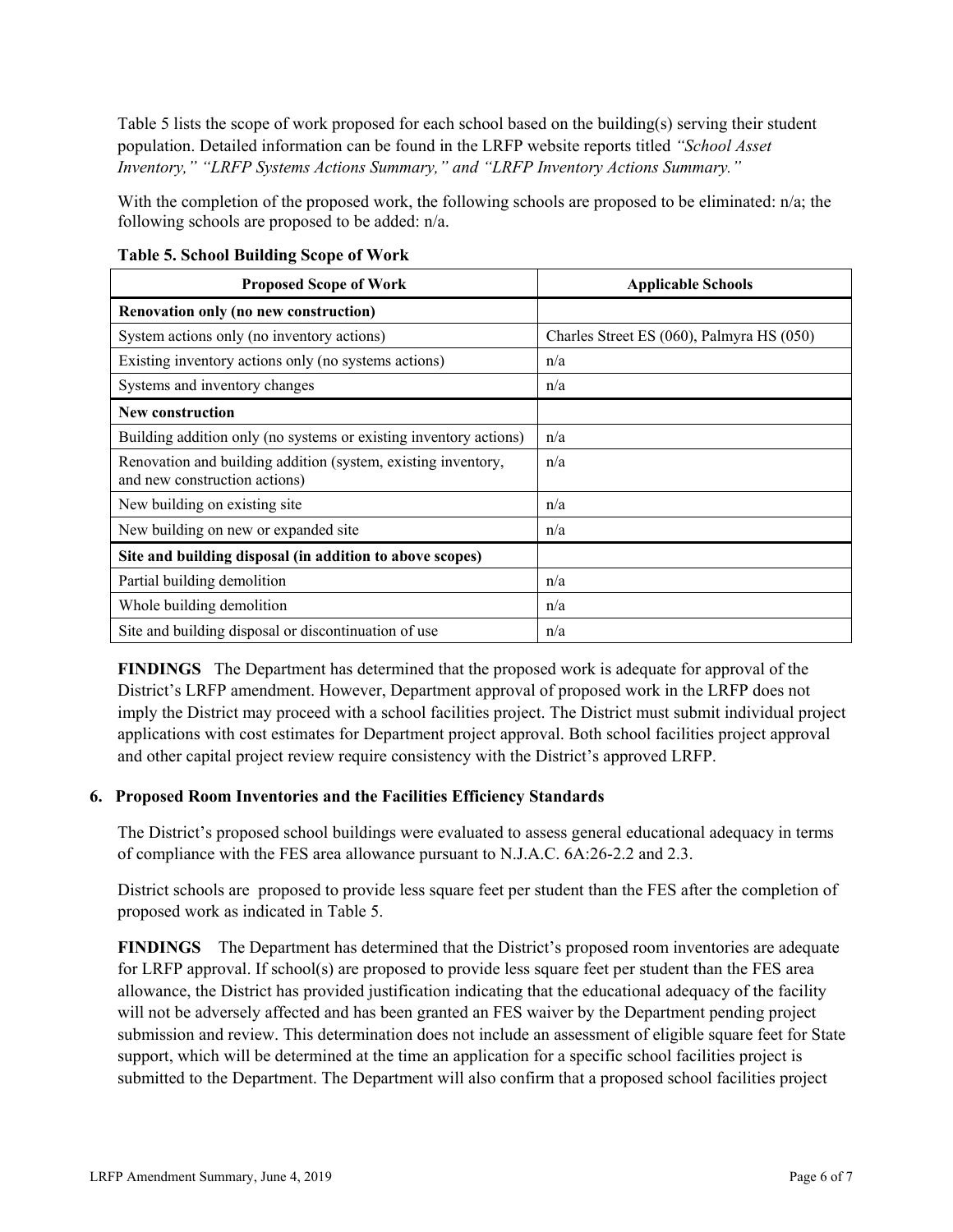Table 5 lists the scope of work proposed for each school based on the building(s) serving their student population. Detailed information can be found in the LRFP website reports titled *"School Asset Inventory," "LRFP Systems Actions Summary," and "LRFP Inventory Actions Summary."*

With the completion of the proposed work, the following schools are proposed to be eliminated: n/a; the following schools are proposed to be added: n/a.

| <b>Proposed Scope of Work</b>                                                                  | <b>Applicable Schools</b>                 |
|------------------------------------------------------------------------------------------------|-------------------------------------------|
| Renovation only (no new construction)                                                          |                                           |
| System actions only (no inventory actions)                                                     | Charles Street ES (060), Palmyra HS (050) |
| Existing inventory actions only (no systems actions)                                           | n/a                                       |
| Systems and inventory changes                                                                  | n/a                                       |
| <b>New construction</b>                                                                        |                                           |
| Building addition only (no systems or existing inventory actions)                              | n/a                                       |
| Renovation and building addition (system, existing inventory,<br>and new construction actions) | n/a                                       |
| New building on existing site                                                                  | n/a                                       |
| New building on new or expanded site                                                           | n/a                                       |
| Site and building disposal (in addition to above scopes)                                       |                                           |
| Partial building demolition                                                                    | n/a                                       |
| Whole building demolition                                                                      | n/a                                       |
| Site and building disposal or discontinuation of use                                           | n/a                                       |

**Table 5. School Building Scope of Work**

**FINDINGS** The Department has determined that the proposed work is adequate for approval of the District's LRFP amendment. However, Department approval of proposed work in the LRFP does not imply the District may proceed with a school facilities project. The District must submit individual project applications with cost estimates for Department project approval. Both school facilities project approval and other capital project review require consistency with the District's approved LRFP.

# **6. Proposed Room Inventories and the Facilities Efficiency Standards**

The District's proposed school buildings were evaluated to assess general educational adequacy in terms of compliance with the FES area allowance pursuant to N.J.A.C. 6A:26-2.2 and 2.3.

District schools are proposed to provide less square feet per student than the FES after the completion of proposed work as indicated in Table 5.

**FINDINGS** The Department has determined that the District's proposed room inventories are adequate for LRFP approval. If school(s) are proposed to provide less square feet per student than the FES area allowance, the District has provided justification indicating that the educational adequacy of the facility will not be adversely affected and has been granted an FES waiver by the Department pending project submission and review. This determination does not include an assessment of eligible square feet for State support, which will be determined at the time an application for a specific school facilities project is submitted to the Department. The Department will also confirm that a proposed school facilities project